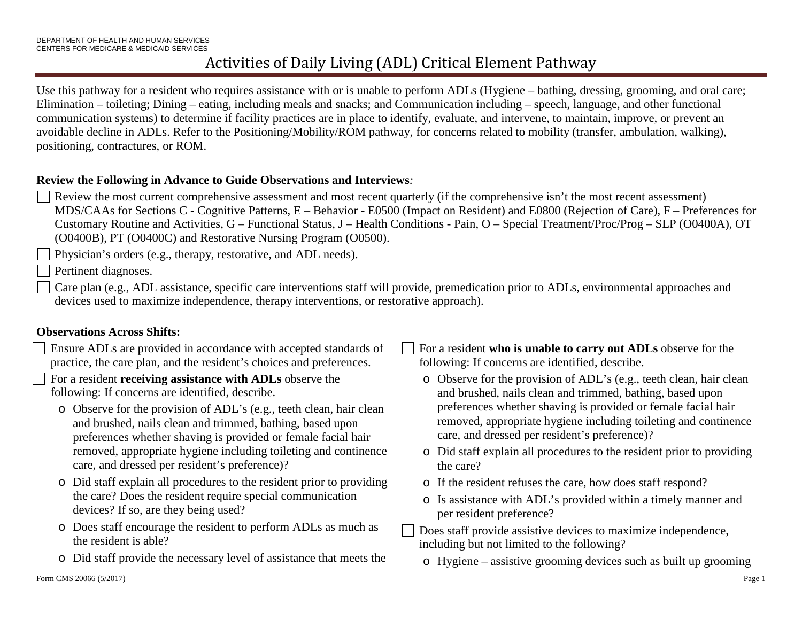Use this pathway for a resident who requires assistance with or is unable to perform ADLs (Hygiene – bathing, dressing, grooming, and oral care; Elimination – toileting; Dining – eating, including meals and snacks; and Communication including – speech, language, and other functional communication systems) to determine if facility practices are in place to identify, evaluate, and intervene, to maintain, improve, or prevent an avoidable decline in ADLs. Refer to the Positioning/Mobility/ROM pathway, for concerns related to mobility (transfer, ambulation, walking), positioning, contractures, or ROM.

#### **Review the Following in Advance to Guide Observations and Interviews***:*

Review the most current comprehensive assessment and most recent quarterly (if the comprehensive isn't the most recent assessment) MDS/CAAs for Sections C - Cognitive Patterns, E – Behavior - E0500 (Impact on Resident) and E0800 (Rejection of Care), F – Preferences for Customary Routine and Activities, G – Functional Status, J – Health Conditions - Pain, O – Special Treatment/Proc/Prog – SLP (O0400A), OT (O0400B), PT (O0400C) and Restorative Nursing Program (O0500).

Physician's orders (e.g., therapy, restorative, and ADL needs).

Pertinent diagnoses.

 Care plan (e.g., ADL assistance, specific care interventions staff will provide, premedication prior to ADLs, environmental approaches and devices used to maximize independence, therapy interventions, or restorative approach).

### **Observations Across Shifts:**

 Ensure ADLs are provided in accordance with accepted standards of practice, the care plan, and the resident's choices and preferences.

For a resident **receiving assistance with ADLs** observe the following: If concerns are identified, describe.

- o Observe for the provision of ADL's (e.g., teeth clean, hair clean and brushed, nails clean and trimmed, bathing, based upon preferences whether shaving is provided or female facial hair removed, appropriate hygiene including toileting and continence care, and dressed per resident's preference)?
- o Did staff explain all procedures to the resident prior to providing the care? Does the resident require special communication devices? If so, are they being used?
- o Does staff encourage the resident to perform ADLs as much as the resident is able?
- o Did staff provide the necessary level of assistance that meets the

For a resident **who is unable to carry out ADLs** observe for the following: If concerns are identified, describe.

- o Observe for the provision of ADL's (e.g., teeth clean, hair clean and brushed, nails clean and trimmed, bathing, based upon preferences whether shaving is provided or female facial hair removed, appropriate hygiene including toileting and continence care, and dressed per resident's preference)?
- o Did staff explain all procedures to the resident prior to providing the care?
- o If the resident refuses the care, how does staff respond?
- o Is assistance with ADL's provided within a timely manner and per resident preference?
- Does staff provide assistive devices to maximize independence, including but not limited to the following?
- o Hygiene assistive grooming devices such as built up grooming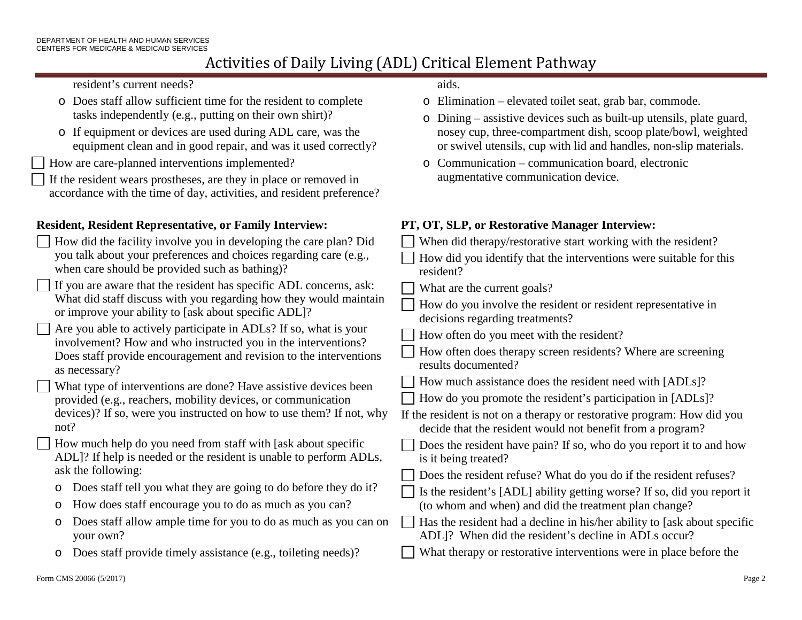resident's current needs?

- o Does staff allow sufficient time for the resident to complete tasks independently (e.g., putting on their own shirt)?
- o If equipment or devices are used during ADL care, was the equipment clean and in good repair, and was it used correctly?

How are care-planned interventions implemented?

If the resident wears prostheses, are they in place or removed in accordance with the time of day, activities, and resident preference?

## **Resident, Resident Representative, or Family Interview: PT, OT, SLP, or Restorative Manager Interview:**

| $\Box$ How did the facility involve you in developing the care plan? Did |
|--------------------------------------------------------------------------|
| you talk about your preferences and choices regarding care (e.g.,        |
| when care should be provided such as bathing)?                           |

```
If you are aware that the resident has specific ADL concerns, ask: 
What did staff discuss with you regarding how they would maintain 
or improve your ability to [ask about specific ADL]?
```

```
Are you able to actively participate in ADLs? If so, what is your 
  involvement? How and who instructed you in the interventions? 
  Does staff provide encouragement and revision to the interventions 
  as necessary?
```

```
 What type of interventions are done? Have assistive devices been 
provided (e.g., reachers, mobility devices, or communication 
devices)? If so, were you instructed on how to use them? If not, why 
not?
```
- How much help do you need from staff with [ask about specific ADL]? If help is needed or the resident is unable to perform ADLs, ask the following:
- o Does staff tell you what they are going to do before they do it?
- o How does staff encourage you to do as much as you can?
- o Does staff allow ample time for you to do as much as you can on your own?
- o Does staff provide timely assistance (e.g., toileting needs)?

aids.

- o Elimination elevated toilet seat, grab bar, commode.
- o Dining assistive devices such as built-up utensils, plate guard, nosey cup, three-compartment dish, scoop plate/bowl, weighted or swivel utensils, cup with lid and handles, non-slip materials.
- o Communication communication board, electronic augmentative communication device.

- When did therapy/restorative start working with the resident? How did you identify that the interventions were suitable for this
- resident?
- What are the current goals?
- How do you involve the resident or resident representative in decisions regarding treatments?
- How often do you meet with the resident?
- How often does therapy screen residents? Where are screening results documented?
- How much assistance does the resident need with [ADLs]?
- How do you promote the resident's participation in [ADLs]?
- If the resident is not on a therapy or restorative program: How did you decide that the resident would not benefit from a program?
- Does the resident have pain? If so, who do you report it to and how is it being treated?
- Does the resident refuse? What do you do if the resident refuses?
- Is the resident's [ADL] ability getting worse? If so, did you report it (to whom and when) and did the treatment plan change?
- Has the resident had a decline in his/her ability to [ask about specific ADL]? When did the resident's decline in ADLs occur?
- What therapy or restorative interventions were in place before the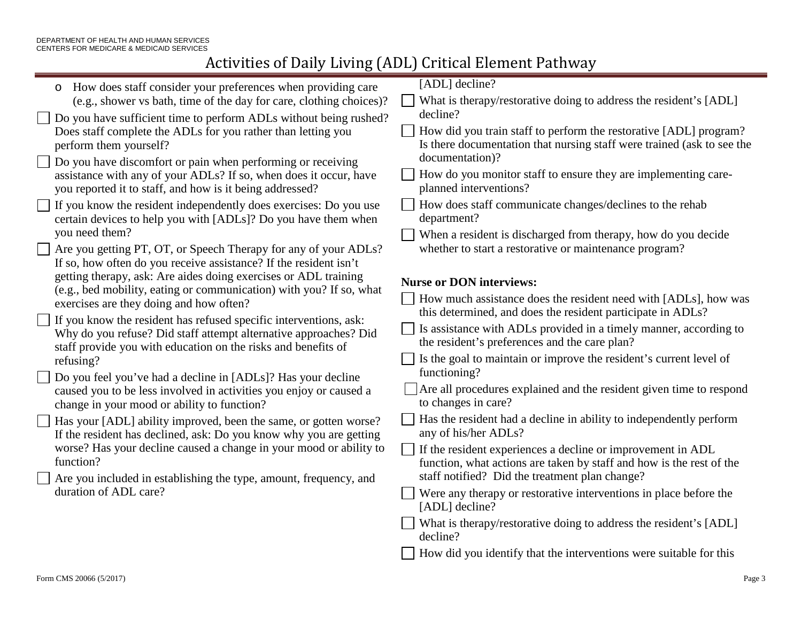| How does staff consider your preferences when providing care<br>$\circ$                                                                | [ADL] decline?                                                                                                                              |
|----------------------------------------------------------------------------------------------------------------------------------------|---------------------------------------------------------------------------------------------------------------------------------------------|
| (e.g., shower vs bath, time of the day for care, clothing choices)?                                                                    | What is therapy/restorative doing to address the resident's [ADL]                                                                           |
| Do you have sufficient time to perform ADLs without being rushed?                                                                      | decline?                                                                                                                                    |
| Does staff complete the ADLs for you rather than letting you<br>perform them yourself?                                                 | How did you train staff to perform the restorative [ADL] program?<br>Is there documentation that nursing staff were trained (ask to see the |
| Do you have discomfort or pain when performing or receiving                                                                            | documentation)?                                                                                                                             |
| assistance with any of your ADLs? If so, when does it occur, have<br>you reported it to staff, and how is it being addressed?          | How do you monitor staff to ensure they are implementing care-<br>planned interventions?                                                    |
| If you know the resident independently does exercises: Do you use<br>certain devices to help you with [ADLs]? Do you have them when    | How does staff communicate changes/declines to the rehab<br>department?                                                                     |
| you need them?                                                                                                                         | When a resident is discharged from therapy, how do you decide                                                                               |
| Are you getting PT, OT, or Speech Therapy for any of your ADLs?<br>If so, how often do you receive assistance? If the resident isn't   | whether to start a restorative or maintenance program?                                                                                      |
| getting therapy, ask: Are aides doing exercises or ADL training                                                                        | <b>Nurse or DON interviews:</b>                                                                                                             |
| (e.g., bed mobility, eating or communication) with you? If so, what<br>exercises are they doing and how often?                         | How much assistance does the resident need with [ADLs], how was<br>this determined, and does the resident participate in ADLs?              |
| If you know the resident has refused specific interventions, ask:                                                                      | Is assistance with ADLs provided in a timely manner, according to                                                                           |
| Why do you refuse? Did staff attempt alternative approaches? Did                                                                       | the resident's preferences and the care plan?                                                                                               |
| staff provide you with education on the risks and benefits of<br>refusing?                                                             | Is the goal to maintain or improve the resident's current level of                                                                          |
| Do you feel you've had a decline in [ADLs]? Has your decline                                                                           | functioning?                                                                                                                                |
| caused you to be less involved in activities you enjoy or caused a<br>change in your mood or ability to function?                      | Are all procedures explained and the resident given time to respond<br>to changes in care?                                                  |
| Has your [ADL] ability improved, been the same, or gotten worse?<br>If the resident has declined, ask: Do you know why you are getting | Has the resident had a decline in ability to independently perform<br>any of his/her ADLs?                                                  |
| worse? Has your decline caused a change in your mood or ability to<br>function?                                                        | If the resident experiences a decline or improvement in ADL<br>function, what actions are taken by staff and how is the rest of the         |
| Are you included in establishing the type, amount, frequency, and                                                                      | staff notified? Did the treatment plan change?                                                                                              |
| duration of ADL care?                                                                                                                  | Were any therapy or restorative interventions in place before the<br>[ADL] decline?                                                         |
|                                                                                                                                        | What is therapy/restorative doing to address the resident's [ADL]<br>decline?                                                               |
|                                                                                                                                        | How did you identify that the interventions were suitable for this                                                                          |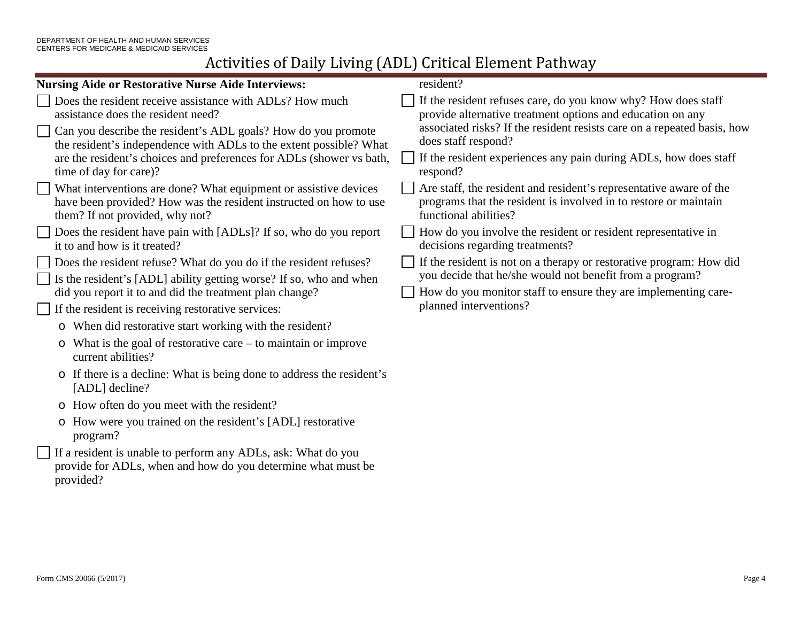| <b>Nursing Aide or Restorative Nurse Aide Interviews:</b>                                                                                                                                                                                                                                                                               | resident?                                                                                                                                                                                                                                                                                                     |
|-----------------------------------------------------------------------------------------------------------------------------------------------------------------------------------------------------------------------------------------------------------------------------------------------------------------------------------------|---------------------------------------------------------------------------------------------------------------------------------------------------------------------------------------------------------------------------------------------------------------------------------------------------------------|
| Does the resident receive assistance with ADLs? How much<br>assistance does the resident need?<br>Can you describe the resident's ADL goals? How do you promote<br>the resident's independence with ADLs to the extent possible? What<br>are the resident's choices and preferences for ADLs (shower vs bath,<br>time of day for care)? | If the resident refuses care, do you know why? How does staff<br>provide alternative treatment options and education on any<br>associated risks? If the resident resists care on a repeated basis, how<br>does staff respond?<br>If the resident experiences any pain during ADLs, how does staff<br>respond? |
| What interventions are done? What equipment or assistive devices<br>have been provided? How was the resident instructed on how to use<br>them? If not provided, why not?                                                                                                                                                                | Are staff, the resident and resident's representative aware of the<br>programs that the resident is involved in to restore or maintain<br>functional abilities?                                                                                                                                               |
| Does the resident have pain with [ADLs]? If so, who do you report<br>it to and how is it treated?                                                                                                                                                                                                                                       | How do you involve the resident or resident representative in<br>decisions regarding treatments?                                                                                                                                                                                                              |
| Does the resident refuse? What do you do if the resident refuses?<br>Is the resident's [ADL] ability getting worse? If so, who and when<br>did you report it to and did the treatment plan change?<br>If the resident is receiving restorative services:                                                                                | If the resident is not on a therapy or restorative program: How did<br>you decide that he/she would not benefit from a program?<br>How do you monitor staff to ensure they are implementing care-<br>planned interventions?                                                                                   |
| o When did restorative start working with the resident?                                                                                                                                                                                                                                                                                 |                                                                                                                                                                                                                                                                                                               |
| $\circ$ What is the goal of restorative care – to maintain or improve<br>current abilities?                                                                                                                                                                                                                                             |                                                                                                                                                                                                                                                                                                               |
| o If there is a decline: What is being done to address the resident's<br>[ADL] decline?                                                                                                                                                                                                                                                 |                                                                                                                                                                                                                                                                                                               |
| o How often do you meet with the resident?                                                                                                                                                                                                                                                                                              |                                                                                                                                                                                                                                                                                                               |
| o How were you trained on the resident's [ADL] restorative<br>program?                                                                                                                                                                                                                                                                  |                                                                                                                                                                                                                                                                                                               |
| If a resident is unable to perform any ADLs, ask: What do you<br>provide for ADLs, when and how do you determine what must be<br>provided?                                                                                                                                                                                              |                                                                                                                                                                                                                                                                                                               |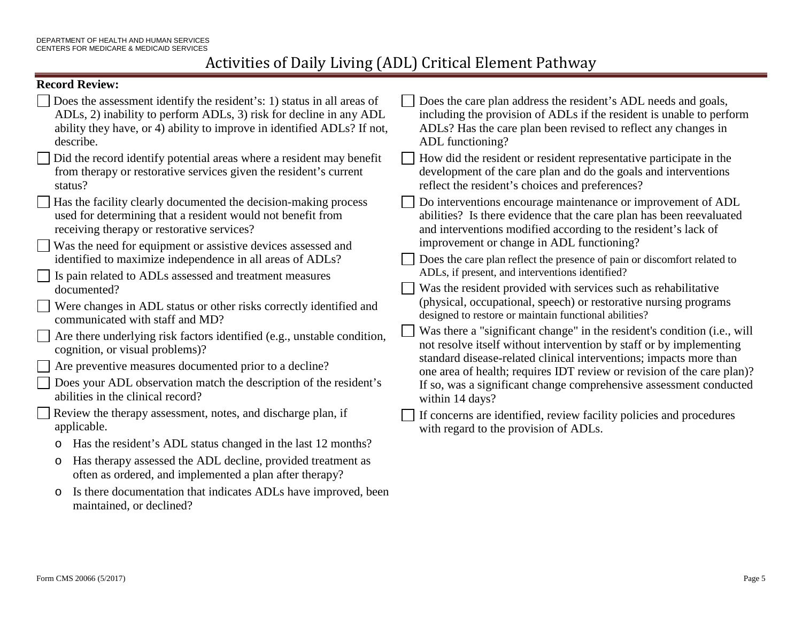#### **Record Review:**

| NUULU INTIUM                                                                                                                                                                                                                                                                   |                                                                                                                                                                                                                                                                                                                                                                       |
|--------------------------------------------------------------------------------------------------------------------------------------------------------------------------------------------------------------------------------------------------------------------------------|-----------------------------------------------------------------------------------------------------------------------------------------------------------------------------------------------------------------------------------------------------------------------------------------------------------------------------------------------------------------------|
| Does the assessment identify the resident's: 1) status in all areas of<br>ADLs, 2) inability to perform ADLs, 3) risk for decline in any ADL<br>ability they have, or 4) ability to improve in identified ADLs? If not,<br>describe.                                           | Does the care plan address the resident's ADL needs and goals,<br>including the provision of ADLs if the resident is unable to perform<br>ADLs? Has the care plan been revised to reflect any changes in<br>ADL functioning?                                                                                                                                          |
| Did the record identify potential areas where a resident may benefit<br>from therapy or restorative services given the resident's current<br>status?                                                                                                                           | How did the resident or resident representative participate in the<br>development of the care plan and do the goals and interventions<br>reflect the resident's choices and preferences?                                                                                                                                                                              |
| Has the facility clearly documented the decision-making process<br>used for determining that a resident would not benefit from<br>receiving therapy or restorative services?<br>Was the need for equipment or assistive devices assessed and                                   | Do interventions encourage maintenance or improvement of ADL<br>abilities? Is there evidence that the care plan has been reevaluated<br>and interventions modified according to the resident's lack of<br>improvement or change in ADL functioning?                                                                                                                   |
| identified to maximize independence in all areas of ADLs?<br>Is pain related to ADLs assessed and treatment measures<br>documented?                                                                                                                                            | Does the care plan reflect the presence of pain or discomfort related to<br>ADLs, if present, and interventions identified?<br>Was the resident provided with services such as rehabilitative<br>(physical, occupational, speech) or restorative nursing programs<br>designed to restore or maintain functional abilities?                                            |
| Were changes in ADL status or other risks correctly identified and<br>communicated with staff and MD?                                                                                                                                                                          |                                                                                                                                                                                                                                                                                                                                                                       |
| Are there underlying risk factors identified (e.g., unstable condition,<br>cognition, or visual problems)?<br>Are preventive measures documented prior to a decline?<br>Does your ADL observation match the description of the resident's<br>abilities in the clinical record? | Was there a "significant change" in the resident's condition (i.e., will<br>not resolve itself without intervention by staff or by implementing<br>standard disease-related clinical interventions; impacts more than<br>one area of health; requires IDT review or revision of the care plan)?<br>If so, was a significant change comprehensive assessment conducted |
| Review the therapy assessment, notes, and discharge plan, if<br>applicable.<br>Has the resident's ADL status changed in the last 12 months?<br>O<br>Has therapy assessed the ADL decline, provided treatment as<br>O                                                           | within 14 days?<br>If concerns are identified, review facility policies and procedures<br>with regard to the provision of ADLs.                                                                                                                                                                                                                                       |
| often as ordered, and implemented a plan after therapy?                                                                                                                                                                                                                        |                                                                                                                                                                                                                                                                                                                                                                       |
|                                                                                                                                                                                                                                                                                |                                                                                                                                                                                                                                                                                                                                                                       |

o Is there documentation that indicates ADLs have improved, been maintained, or declined?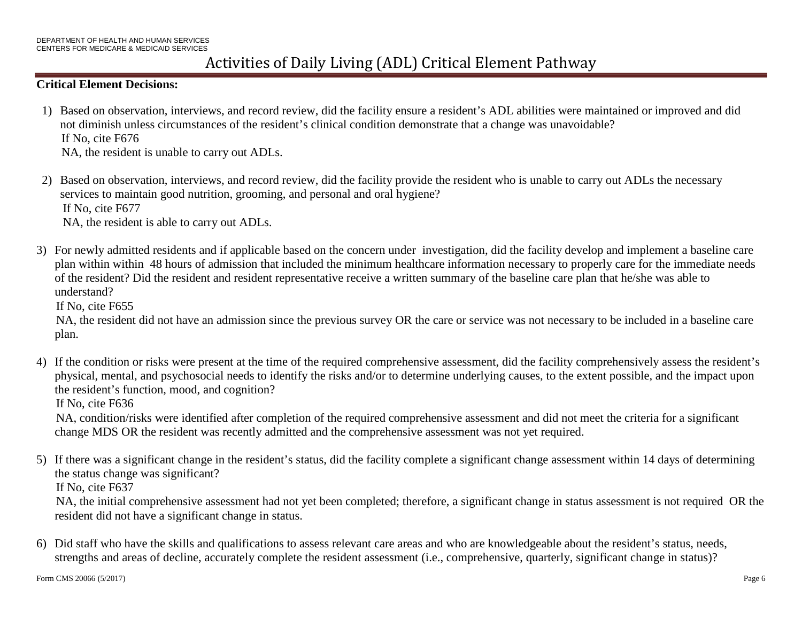#### **Critical Element Decisions:**

- 1) Based on observation, interviews, and record review, did the facility ensure a resident's ADL abilities were maintained or improved and did not diminish unless circumstances of the resident's clinical condition demonstrate that a change was unavoidable? If No, cite F676 NA, the resident is unable to carry out ADLs.
- 2) Based on observation, interviews, and record review, did the facility provide the resident who is unable to carry out ADLs the necessary services to maintain good nutrition, grooming, and personal and oral hygiene? If No, cite F677 NA, the resident is able to carry out ADLs.
- 3) For newly admitted residents and if applicable based on the concern under investigation, did the facility develop and implement a baseline care plan within within 48 hours of admission that included the minimum healthcare information necessary to properly care for the immediate needs of the resident? Did the resident and resident representative receive a written summary of the baseline care plan that he/she was able to understand?

If No, cite F655

NA, the resident did not have an admission since the previous survey OR the care or service was not necessary to be included in a baseline care plan.

4) If the condition or risks were present at the time of the required comprehensive assessment, did the facility comprehensively assess the resident's physical, mental, and psychosocial needs to identify the risks and/or to determine underlying causes, to the extent possible, and the impact upon the resident's function, mood, and cognition?

If No, cite F636

NA, condition/risks were identified after completion of the required comprehensive assessment and did not meet the criteria for a significant change MDS OR the resident was recently admitted and the comprehensive assessment was not yet required.

5) If there was a significant change in the resident's status, did the facility complete a significant change assessment within 14 days of determining the status change was significant? If No, cite F637

NA, the initial comprehensive assessment had not yet been completed; therefore, a significant change in status assessment is not required OR the resident did not have a significant change in status.

6) Did staff who have the skills and qualifications to assess relevant care areas and who are knowledgeable about the resident's status, needs, strengths and areas of decline, accurately complete the resident assessment (i.e., comprehensive, quarterly, significant change in status)?